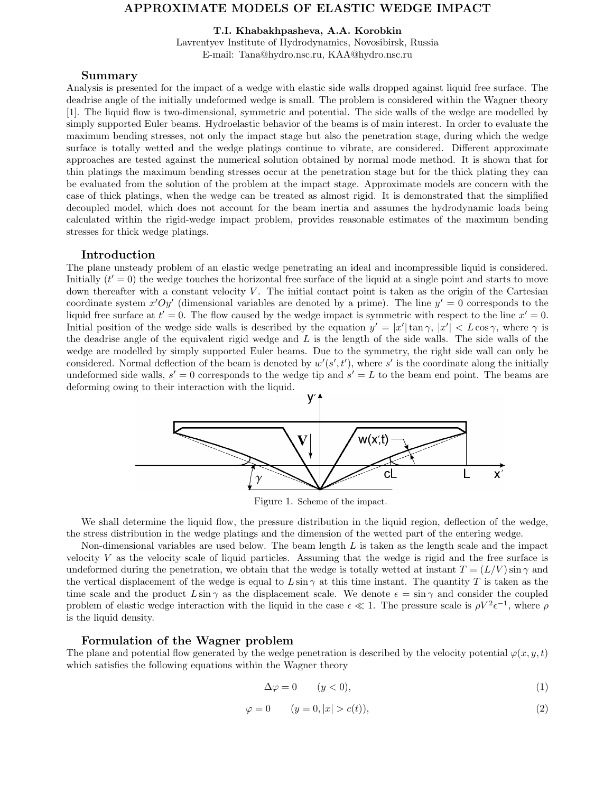## APPROXIMATE MODELS OF ELASTIC WEDGE IMPACT

T.I. Khabakhpasheva, A.A. Korobkin

Lavrentyev Institute of Hydrodynamics, Novosibirsk, Russia E-mail: Tana@hydro.nsc.ru, KAA@hydro.nsc.ru

#### Summary

Analysis is presented for the impact of a wedge with elastic side walls dropped against liquid free surface. The deadrise angle of the initially undeformed wedge is small. The problem is considered within the Wagner theory [1]. The liquid flow is two-dimensional, symmetric and potential. The side walls of the wedge are modelled by simply supported Euler beams. Hydroelastic behavior of the beams is of main interest. In order to evaluate the maximum bending stresses, not only the impact stage but also the penetration stage, during which the wedge surface is totally wetted and the wedge platings continue to vibrate, are considered. Different approximate approaches are tested against the numerical solution obtained by normal mode method. It is shown that for thin platings the maximum bending stresses occur at the penetration stage but for the thick plating they can be evaluated from the solution of the problem at the impact stage. Approximate models are concern with the case of thick platings, when the wedge can be treated as almost rigid. It is demonstrated that the simplified decoupled model, which does not account for the beam inertia and assumes the hydrodynamic loads being calculated within the rigid-wedge impact problem, provides reasonable estimates of the maximum bending stresses for thick wedge platings.

### Introduction

The plane unsteady problem of an elastic wedge penetrating an ideal and incompressible liquid is considered. Initially  $(t' = 0)$  the wedge touches the horizontal free surface of the liquid at a single point and starts to move down thereafter with a constant velocity  $V$ . The initial contact point is taken as the origin of the Cartesian coordinate system x'Oy' (dimensional variables are denoted by a prime). The line  $y' = 0$  corresponds to the liquid free surface at  $t' = 0$ . The flow caused by the wedge impact is symmetric with respect to the line  $x' = 0$ . Initial position of the wedge side walls is described by the equation  $y' = |x'| \tan \gamma$ ,  $|x'| < L \cos \gamma$ , where  $\gamma$  is the deadrise angle of the equivalent rigid wedge and  $L$  is the length of the side walls. The side walls of the wedge are modelled by simply supported Euler beams. Due to the symmetry, the right side wall can only be considered. Normal deflection of the beam is denoted by  $w'(s', t')$ , where s' is the coordinate along the initially undeformed side walls,  $s' = 0$  corresponds to the wedge tip and  $s' = L$  to the beam end point. The beams are deforming owing to their interaction with the liquid.



Figure 1. Scheme of the impact.

We shall determine the liquid flow, the pressure distribution in the liquid region, deflection of the wedge, the stress distribution in the wedge platings and the dimension of the wetted part of the entering wedge.

Non-dimensional variables are used below. The beam length  $L$  is taken as the length scale and the impact velocity V as the velocity scale of liquid particles. Assuming that the wedge is rigid and the free surface is undeformed during the penetration, we obtain that the wedge is totally wetted at instant  $T = (L/V) \sin \gamma$  and the vertical displacement of the wedge is equal to  $L\sin\gamma$  at this time instant. The quantity T is taken as the time scale and the product  $L\sin\gamma$  as the displacement scale. We denote  $\epsilon = \sin\gamma$  and consider the coupled problem of elastic wedge interaction with the liquid in the case  $\epsilon \ll 1$ . The pressure scale is  $\rho V^2 \epsilon^{-1}$ , where  $\rho$ is the liquid density.

### Formulation of the Wagner problem

The plane and potential flow generated by the wedge penetration is described by the velocity potential  $\varphi(x, y, t)$ which satisfies the following equations within the Wagner theory

$$
\Delta \varphi = 0 \qquad (y < 0), \tag{1}
$$

$$
\varphi = 0 \qquad (y = 0, |x| > c(t)),\tag{2}
$$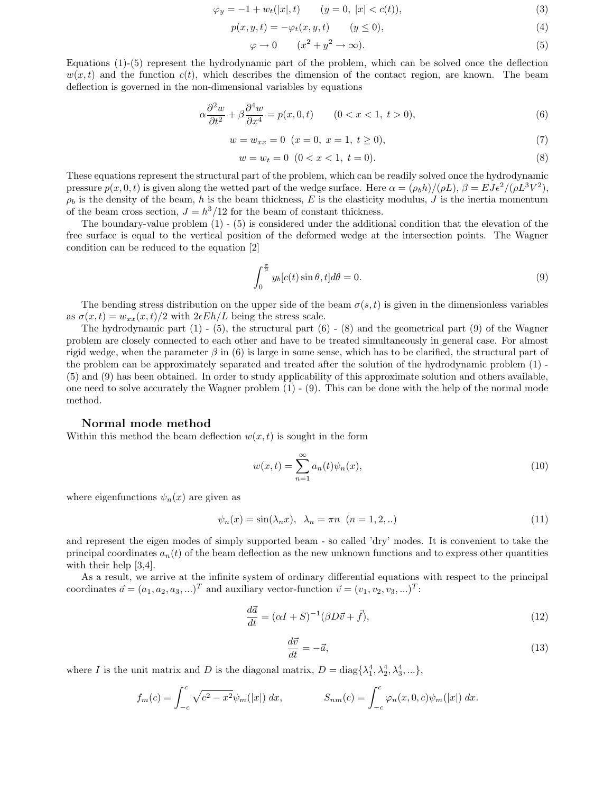$$
\varphi_y = -1 + w_t(|x|, t) \qquad (y = 0, |x| < c(t)),\tag{3}
$$

$$
p(x, y, t) = -\varphi_t(x, y, t) \qquad (y \le 0),
$$
\n<sup>(4)</sup>

$$
\varphi \to 0 \qquad (x^2 + y^2 \to \infty). \tag{5}
$$

Equations (1)-(5) represent the hydrodynamic part of the problem, which can be solved once the deflection  $w(x,t)$  and the function  $c(t)$ , which describes the dimension of the contact region, are known. The beam deflection is governed in the non-dimensional variables by equations

$$
\alpha \frac{\partial^2 w}{\partial t^2} + \beta \frac{\partial^4 w}{\partial x^4} = p(x, 0, t) \qquad (0 < x < 1, \ t > 0),\tag{6}
$$

$$
w = w_{xx} = 0 \ (x = 0, \ x = 1, \ t \ge 0), \tag{7}
$$

$$
w = w_t = 0 \t(0 < x < 1, t = 0).
$$
\t(8)

These equations represent the structural part of the problem, which can be readily solved once the hydrodynamic pressure  $p(x, 0, t)$  is given along the wetted part of the wedge surface. Here  $\alpha = (\rho_b h)/(\rho L)$ ,  $\beta = E J \epsilon^2/(\rho L^3 V^2)$ ,  $\rho_b$  is the density of the beam, h is the beam thickness, E is the elasticity modulus, J is the inertia momentum of the beam cross section,  $J = h^3/12$  for the beam of constant thickness.

The boundary-value problem  $(1)$  -  $(5)$  is considered under the additional condition that the elevation of the free surface is equal to the vertical position of the deformed wedge at the intersection points. The Wagner condition can be reduced to the equation [2]

$$
\int_0^{\frac{\pi}{2}} y_b[c(t)\sin\theta, t]d\theta = 0.
$$
\n(9)

The bending stress distribution on the upper side of the beam  $\sigma(s,t)$  is given in the dimensionless variables as  $\sigma(x,t) = w_{xx}(x,t)/2$  with  $2\epsilon E h/L$  being the stress scale.

The hydrodynamic part  $(1)$  -  $(5)$ , the structural part  $(6)$  -  $(8)$  and the geometrical part  $(9)$  of the Wagner problem are closely connected to each other and have to be treated simultaneously in general case. For almost rigid wedge, when the parameter  $\beta$  in (6) is large in some sense, which has to be clarified, the structural part of the problem can be approximately separated and treated after the solution of the hydrodynamic problem (1) - (5) and (9) has been obtained. In order to study applicability of this approximate solution and others available, one need to solve accurately the Wagner problem  $(1)$  -  $(9)$ . This can be done with the help of the normal mode method.

### Normal mode method

Within this method the beam deflection  $w(x,t)$  is sought in the form

$$
w(x,t) = \sum_{n=1}^{\infty} a_n(t)\psi_n(x),
$$
\n(10)

where eigenfunctions  $\psi_n(x)$  are given as

$$
\psi_n(x) = \sin(\lambda_n x), \quad \lambda_n = \pi n \quad (n = 1, 2, \ldots) \tag{11}
$$

and represent the eigen modes of simply supported beam - so called 'dry' modes. It is convenient to take the principal coordinates  $a_n(t)$  of the beam deflection as the new unknown functions and to express other quantities with their help [3,4].

As a result, we arrive at the infinite system of ordinary differential equations with respect to the principal coordinates  $\vec{a} = (a_1, a_2, a_3, \ldots)^T$  and auxiliary vector-function  $\vec{v} = (v_1, v_2, v_3, \ldots)^T$ :

$$
\frac{d\vec{a}}{dt} = (\alpha I + S)^{-1} (\beta D\vec{v} + \vec{f}),\tag{12}
$$

$$
\frac{d\vec{v}}{dt} = -\vec{a},\tag{13}
$$

where I is the unit matrix and D is the diagonal matrix,  $D = \text{diag}\{\lambda_1^4, \lambda_2^4, \lambda_3^4, ...\}$ ,

$$
f_m(c) = \int_{-c}^{c} \sqrt{c^2 - x^2} \psi_m(|x|) dx, \qquad S_{nm}(c) = \int_{-c}^{c} \varphi_n(x, 0, c) \psi_m(|x|) dx.
$$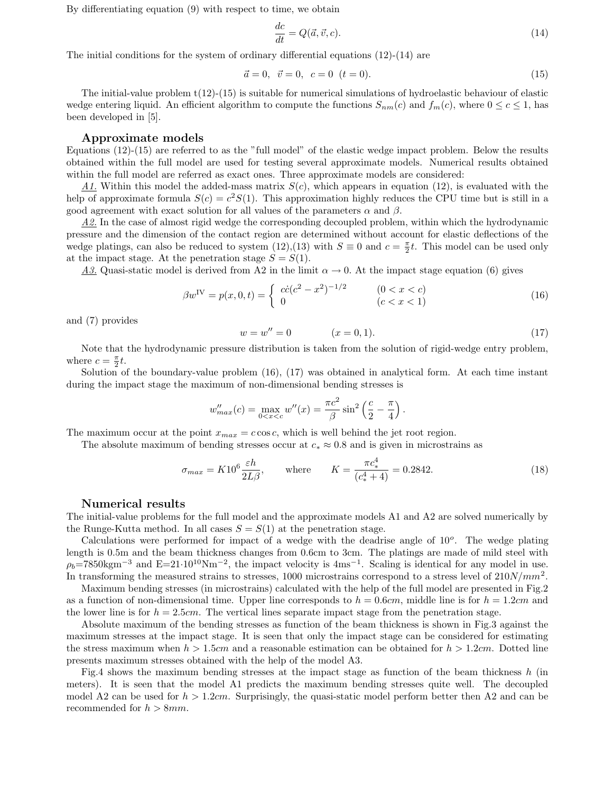By differentiating equation (9) with respect to time, we obtain

$$
\frac{dc}{dt} = Q(\vec{a}, \vec{v}, c). \tag{14}
$$

The initial conditions for the system of ordinary differential equations  $(12)-(14)$  are

$$
\vec{a} = 0, \ \vec{v} = 0, \ c = 0 \ (t = 0). \tag{15}
$$

The initial-value problem  $t(12)-(15)$  is suitable for numerical simulations of hydroelastic behaviour of elastic wedge entering liquid. An efficient algorithm to compute the functions  $S_{nm}(c)$  and  $f_m(c)$ , where  $0 \leq c \leq 1$ , has been developed in [5].

#### Approximate models

Equations (12)-(15) are referred to as the "full model" of the elastic wedge impact problem. Below the results obtained within the full model are used for testing several approximate models. Numerical results obtained within the full model are referred as exact ones. Three approximate models are considered:

 $\underline{A1}$ . Within this model the added-mass matrix  $S(c)$ , which appears in equation (12), is evaluated with the help of approximate formula  $S(c) = c^2 S(1)$ . This approximation highly reduces the CPU time but is still in a good agreement with exact solution for all values of the parameters  $\alpha$  and  $\beta$ .

A2. In the case of almost rigid wedge the corresponding decoupled problem, within which the hydrodynamic pressure and the dimension of the contact region are determined without account for elastic deflections of the wedge platings, can also be reduced to system (12),(13) with  $S \equiv 0$  and  $c = \frac{\pi}{2}t$ . This model can be used only at the impact stage. At the penetration stage  $S = S(1)$ .

A3. Quasi-static model is derived from A2 in the limit  $\alpha \to 0$ . At the impact stage equation (6) gives

$$
\beta w^{\text{IV}} = p(x, 0, t) = \begin{cases} c\dot{c}(c^2 - x^2)^{-1/2} & (0 < x < c) \\ 0 & (c < x < 1) \end{cases}
$$
(16)

and (7) provides

$$
w = w'' = 0 \qquad (x = 0, 1). \tag{17}
$$

Note that the hydrodynamic pressure distribution is taken from the solution of rigid-wedge entry problem, where  $c = \frac{\pi}{2}t$ .

Solution of the boundary-value problem (16), (17) was obtained in analytical form. At each time instant during the impact stage the maximum of non-dimensional bending stresses is

$$
w''_{max}(c) = \max_{0 < x < c} w''(x) = \frac{\pi c^2}{\beta} \sin^2\left(\frac{c}{2} - \frac{\pi}{4}\right).
$$

The maximum occur at the point  $x_{max} = c \cos c$ , which is well behind the jet root region.

The absolute maximum of bending stresses occur at  $c_* \approx 0.8$  and is given in microstrains as

$$
\sigma_{max} = K10^6 \frac{\varepsilon h}{2L\beta}, \qquad \text{where} \qquad K = \frac{\pi c_*^4}{(c_*^4 + 4)} = 0.2842. \tag{18}
$$

#### Numerical results

The initial-value problems for the full model and the approximate models A1 and A2 are solved numerically by the Runge-Kutta method. In all cases  $S = S(1)$  at the penetration stage.

Calculations were performed for impact of a wedge with the deadrise angle of  $10^o$ . The wedge plating length is 0.5m and the beam thickness changes from 0.6cm to 3cm. The platings are made of mild steel with  $\rho_b$ =7850kgm<sup>-3</sup> and E=21·10<sup>10</sup>Nm<sup>-2</sup>, the impact velocity is 4ms<sup>-1</sup>. Scaling is identical for any model in use. In transforming the measured strains to stresses, 1000 microstrains correspond to a stress level of  $210N/mm^2$ .

Maximum bending stresses (in microstrains) calculated with the help of the full model are presented in Fig.2 as a function of non-dimensional time. Upper line corresponds to  $h = 0.6cm$ , middle line is for  $h = 1.2cm$  and the lower line is for  $h = 2.5$ cm. The vertical lines separate impact stage from the penetration stage.

Absolute maximum of the bending stresses as function of the beam thickness is shown in Fig.3 against the maximum stresses at the impact stage. It is seen that only the impact stage can be considered for estimating the stress maximum when  $h > 1.5cm$  and a reasonable estimation can be obtained for  $h > 1.2cm$ . Dotted line presents maximum stresses obtained with the help of the model A3.

Fig.4 shows the maximum bending stresses at the impact stage as function of the beam thickness h (in meters). It is seen that the model A1 predicts the maximum bending stresses quite well. The decoupled model A2 can be used for  $h > 1.2cm$ . Surprisingly, the quasi-static model perform better then A2 and can be recommended for  $h > 8mm$ .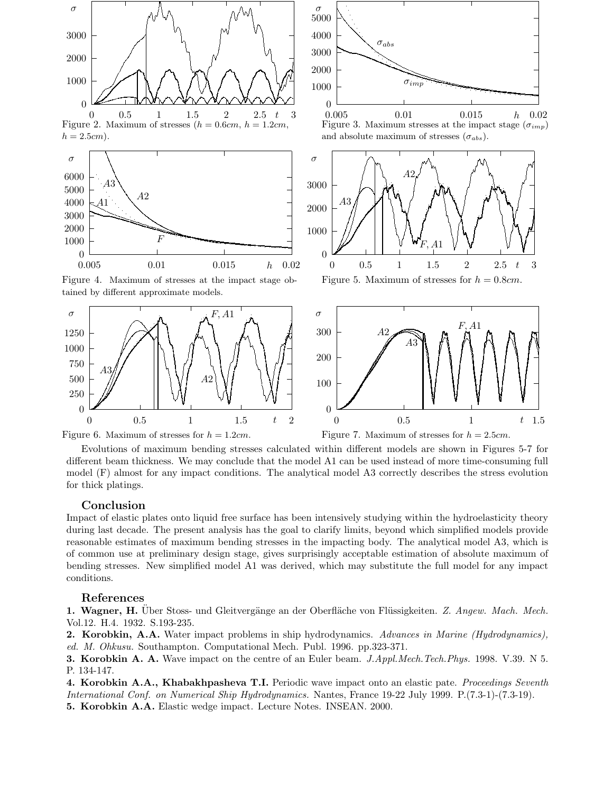

Figure 6. Maximum of stresses for  $h = 1.2$ cm. Figure 7. Maximum of stresses for  $h = 2.5$ cm.

Evolutions of maximum bending stresses calculated within different models are shown in Figures 5-7 for different beam thickness. We may conclude that the model A1 can be used instead of more time-consuming full model (F) almost for any impact conditions. The analytical model A3 correctly describes the stress evolution for thick platings.

## Conclusion

Impact of elastic plates onto liquid free surface has been intensively studying within the hydroelasticity theory during last decade. The present analysis has the goal to clarify limits, beyond which simplified models provide reasonable estimates of maximum bending stresses in the impacting body. The analytical model A3, which is of common use at preliminary design stage, gives surprisingly acceptable estimation of absolute maximum of bending stresses. New simplified model A1 was derived, which may substitute the full model for any impact conditions.

# References

1. Wagner, H. Über Stoss- und Gleitvergänge an der Oberfläche von Flüssigkeiten. Z. Angew. Mach. Mech. Vol.12. H.4. 1932. S.193-235.

2. Korobkin, A.A. Water impact problems in ship hydrodynamics. Advances in Marine (Hydrodynamics), ed. M. Ohkusu. Southampton. Computational Mech. Publ. 1996. pp.323-371.

3. Korobkin A. A. Wave impact on the centre of an Euler beam. J.Appl.Mech.Tech.Phys. 1998. V.39. N 5. P. 134-147.

4. Korobkin A.A., Khabakhpasheva T.I. Periodic wave impact onto an elastic pate. *Proceedings Seventh* International Conf. on Numerical Ship Hydrodynamics. Nantes, France 19-22 July 1999. P.(7.3-1)-(7.3-19). 5. Korobkin A.A. Elastic wedge impact. Lecture Notes. INSEAN. 2000.